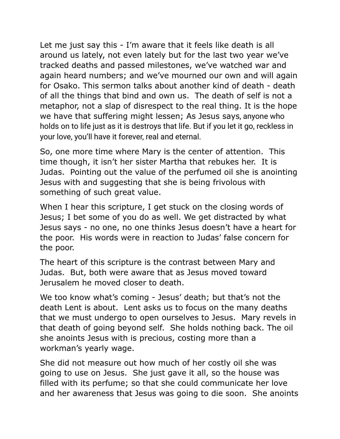Let me just say this - I'm aware that it feels like death is all around us lately, not even lately but for the last two year we've tracked deaths and passed milestones, we've watched war and again heard numbers; and we've mourned our own and will again for Osako. This sermon talks about another kind of death - death of all the things that bind and own us. The death of self is not a metaphor, not a slap of disrespect to the real thing. It is the hope we have that suffering might lessen; As Jesus says, anyone who holds on to life just as it is destroys that life. But if you let it go, reckless in your love, you'll have it forever, real and eternal.

So, one more time where Mary is the center of attention. This time though, it isn't her sister Martha that rebukes her. It is Judas. Pointing out the value of the perfumed oil she is anointing Jesus with and suggesting that she is being frivolous with something of such great value.

When I hear this scripture, I get stuck on the closing words of Jesus; I bet some of you do as well. We get distracted by what Jesus says - no one, no one thinks Jesus doesn't have a heart for the poor. His words were in reaction to Judas' false concern for the poor.

The heart of this scripture is the contrast between Mary and Judas. But, both were aware that as Jesus moved toward Jerusalem he moved closer to death.

We too know what's coming - Jesus' death; but that's not the death Lent is about. Lent asks us to focus on the many deaths that we must undergo to open ourselves to Jesus. Mary revels in that death of going beyond self. She holds nothing back. The oil she anoints Jesus with is precious, costing more than a workman's yearly wage.

She did not measure out how much of her costly oil she was going to use on Jesus. She just gave it all, so the house was filled with its perfume; so that she could communicate her love and her awareness that Jesus was going to die soon. She anoints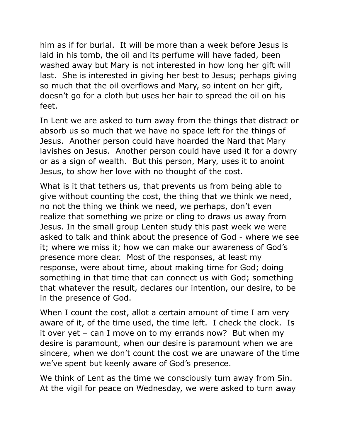him as if for burial. It will be more than a week before Jesus is laid in his tomb, the oil and its perfume will have faded, been washed away but Mary is not interested in how long her gift will last. She is interested in giving her best to Jesus; perhaps giving so much that the oil overflows and Mary, so intent on her gift, doesn't go for a cloth but uses her hair to spread the oil on his feet.

In Lent we are asked to turn away from the things that distract or absorb us so much that we have no space left for the things of Jesus. Another person could have hoarded the Nard that Mary lavishes on Jesus. Another person could have used it for a dowry or as a sign of wealth. But this person, Mary, uses it to anoint Jesus, to show her love with no thought of the cost.

What is it that tethers us, that prevents us from being able to give without counting the cost, the thing that we think we need, no not the thing we think we need, we perhaps, don't even realize that something we prize or cling to draws us away from Jesus. In the small group Lenten study this past week we were asked to talk and think about the presence of God - where we see it; where we miss it; how we can make our awareness of God's presence more clear. Most of the responses, at least my response, were about time, about making time for God; doing something in that time that can connect us with God; something that whatever the result, declares our intention, our desire, to be in the presence of God.

When I count the cost, allot a certain amount of time I am very aware of it, of the time used, the time left. I check the clock. Is it over yet – can I move on to my errands now? But when my desire is paramount, when our desire is paramount when we are sincere, when we don't count the cost we are unaware of the time we've spent but keenly aware of God's presence.

We think of Lent as the time we consciously turn away from Sin. At the vigil for peace on Wednesday, we were asked to turn away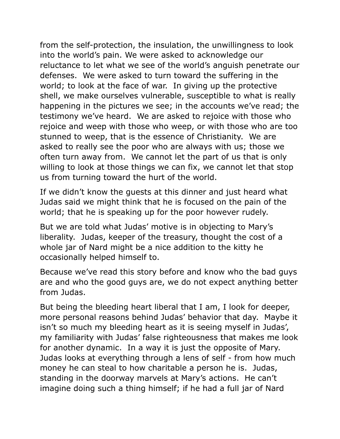from the self-protection, the insulation, the unwillingness to look into the world's pain. We were asked to acknowledge our reluctance to let what we see of the world's anguish penetrate our defenses. We were asked to turn toward the suffering in the world; to look at the face of war. In giving up the protective shell, we make ourselves vulnerable, susceptible to what is really happening in the pictures we see; in the accounts we've read; the testimony we've heard. We are asked to rejoice with those who rejoice and weep with those who weep, or with those who are too stunned to weep, that is the essence of Christianity. We are asked to really see the poor who are always with us; those we often turn away from. We cannot let the part of us that is only willing to look at those things we can fix, we cannot let that stop us from turning toward the hurt of the world.

If we didn't know the guests at this dinner and just heard what Judas said we might think that he is focused on the pain of the world; that he is speaking up for the poor however rudely.

But we are told what Judas' motive is in objecting to Mary's liberality. Judas, keeper of the treasury, thought the cost of a whole jar of Nard might be a nice addition to the kitty he occasionally helped himself to.

Because we've read this story before and know who the bad guys are and who the good guys are, we do not expect anything better from Judas.

But being the bleeding heart liberal that I am, I look for deeper, more personal reasons behind Judas' behavior that day. Maybe it isn't so much my bleeding heart as it is seeing myself in Judas', my familiarity with Judas' false righteousness that makes me look for another dynamic. In a way it is just the opposite of Mary. Judas looks at everything through a lens of self - from how much money he can steal to how charitable a person he is. Judas, standing in the doorway marvels at Mary's actions. He can't imagine doing such a thing himself; if he had a full jar of Nard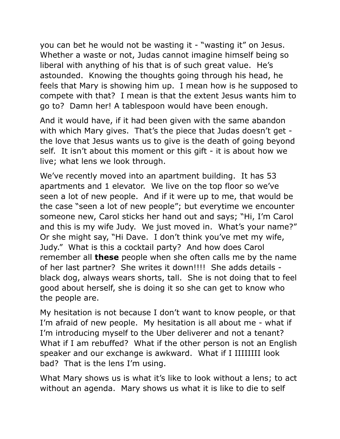you can bet he would not be wasting it - "wasting it" on Jesus. Whether a waste or not, Judas cannot imagine himself being so liberal with anything of his that is of such great value. He's astounded. Knowing the thoughts going through his head, he feels that Mary is showing him up. I mean how is he supposed to compete with that? I mean is that the extent Jesus wants him to go to? Damn her! A tablespoon would have been enough.

And it would have, if it had been given with the same abandon with which Mary gives. That's the piece that Judas doesn't get the love that Jesus wants us to give is the death of going beyond self. It isn't about this moment or this gift - it is about how we live; what lens we look through.

We've recently moved into an apartment building. It has 53 apartments and 1 elevator. We live on the top floor so we've seen a lot of new people. And if it were up to me, that would be the case "seen a lot of new people"; but everytime we encounter someone new, Carol sticks her hand out and says; "Hi, I'm Carol and this is my wife Judy. We just moved in. What's your name?" Or she might say, "Hi Dave. I don't think you've met my wife, Judy." What is this a cocktail party? And how does Carol remember all **these** people when she often calls me by the name of her last partner? She writes it down!!!! She adds details black dog, always wears shorts, tall. She is not doing that to feel good about herself, she is doing it so she can get to know who the people are.

My hesitation is not because I don't want to know people, or that I'm afraid of new people. My hesitation is all about me - what if I'm introducing myself to the Uber deliverer and not a tenant? What if I am rebuffed? What if the other person is not an English speaker and our exchange is awkward. What if I IIIIIIII look bad? That is the lens I'm using.

What Mary shows us is what it's like to look without a lens; to act without an agenda. Mary shows us what it is like to die to self